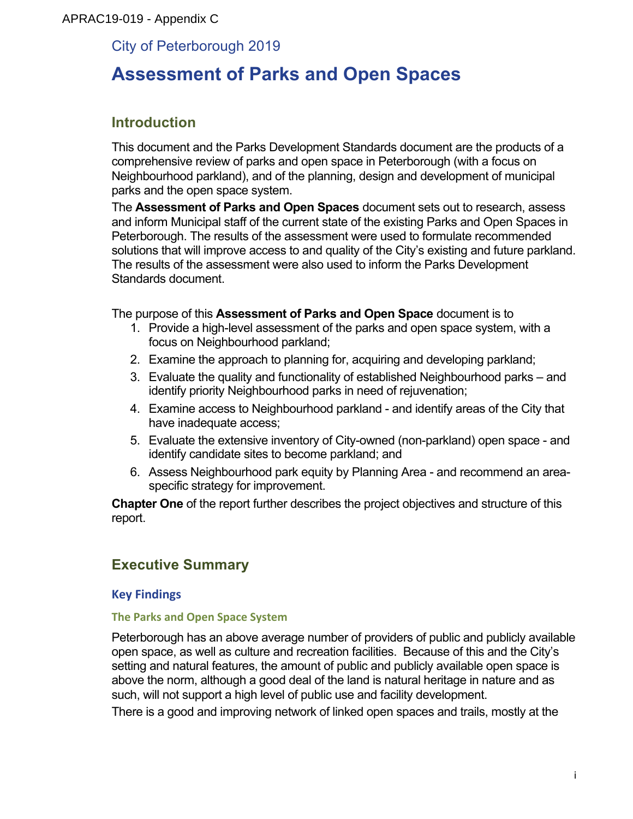### APRAC19-019 - Appendix C

### City of Peterborough 2019

## **Assessment of Parks and Open Spaces**

### **Introduction**

This document and the Parks Development Standards document are the products of a comprehensive review of parks and open space in Peterborough (with a focus on Neighbourhood parkland), and of the planning, design and development of municipal parks and the open space system.

The **Assessment of Parks and Open Spaces** document sets out to research, assess and inform Municipal staff of the current state of the existing Parks and Open Spaces in Peterborough. The results of the assessment were used to formulate recommended solutions that will improve access to and quality of the City's existing and future parkland. The results of the assessment were also used to inform the Parks Development Standards document.

The purpose of this **Assessment of Parks and Open Space** document is to

- 1. Provide a high-level assessment of the parks and open space system, with a focus on Neighbourhood parkland;
- 2. Examine the approach to planning for, acquiring and developing parkland;
- 3. Evaluate the quality and functionality of established Neighbourhood parks and identify priority Neighbourhood parks in need of rejuvenation;
- 4. Examine access to Neighbourhood parkland and identify areas of the City that have inadequate access;
- 5. Evaluate the extensive inventory of City-owned (non-parkland) open space and identify candidate sites to become parkland; and
- 6. Assess Neighbourhood park equity by Planning Area and recommend an areaspecific strategy for improvement.

**Chapter One** of the report further describes the project objectives and structure of this report.

### **Executive Summary**

### **Key Findings**

### **The Parks and Open Space System**

Peterborough has an above average number of providers of public and publicly available open space, as well as culture and recreation facilities. Because of this and the City's setting and natural features, the amount of public and publicly available open space is above the norm, although a good deal of the land is natural heritage in nature and as such, will not support a high level of public use and facility development.

There is a good and improving network of linked open spaces and trails, mostly at the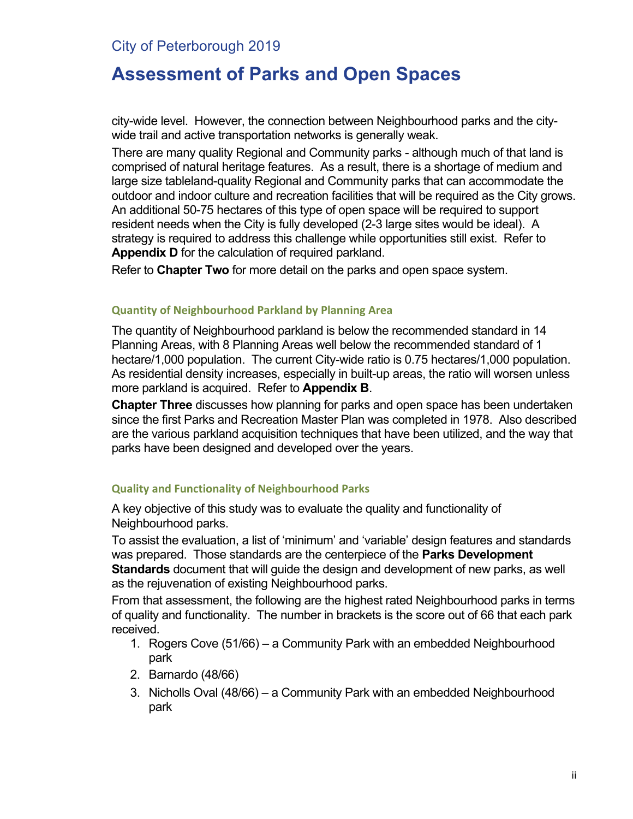## **Assessment of Parks and Open Spaces**

city-wide level. However, the connection between Neighbourhood parks and the citywide trail and active transportation networks is generally weak.

There are many quality Regional and Community parks - although much of that land is comprised of natural heritage features. As a result, there is a shortage of medium and large size tableland-quality Regional and Community parks that can accommodate the outdoor and indoor culture and recreation facilities that will be required as the City grows. An additional 50-75 hectares of this type of open space will be required to support resident needs when the City is fully developed (2-3 large sites would be ideal). A strategy is required to address this challenge while opportunities still exist. Refer to **Appendix D** for the calculation of required parkland.

Refer to **Chapter Two** for more detail on the parks and open space system.

#### **Quantity of Neighbourhood Parkland by Planning Area**

The quantity of Neighbourhood parkland is below the recommended standard in 14 Planning Areas, with 8 Planning Areas well below the recommended standard of 1 hectare/1,000 population. The current City-wide ratio is 0.75 hectares/1,000 population. As residential density increases, especially in built-up areas, the ratio will worsen unless more parkland is acquired. Refer to **Appendix B**.

**Chapter Three** discusses how planning for parks and open space has been undertaken since the first Parks and Recreation Master Plan was completed in 1978. Also described are the various parkland acquisition techniques that have been utilized, and the way that parks have been designed and developed over the years.

### **Quality and Functionality of Neighbourhood Parks**

A key objective of this study was to evaluate the quality and functionality of Neighbourhood parks.

To assist the evaluation, a list of 'minimum' and 'variable' design features and standards was prepared. Those standards are the centerpiece of the **Parks Development Standards** document that will guide the design and development of new parks, as well as the rejuvenation of existing Neighbourhood parks.

From that assessment, the following are the highest rated Neighbourhood parks in terms of quality and functionality. The number in brackets is the score out of 66 that each park received.

- 1. Rogers Cove (51/66) a Community Park with an embedded Neighbourhood park
- 2. Barnardo (48/66)
- 3. Nicholls Oval (48/66) a Community Park with an embedded Neighbourhood park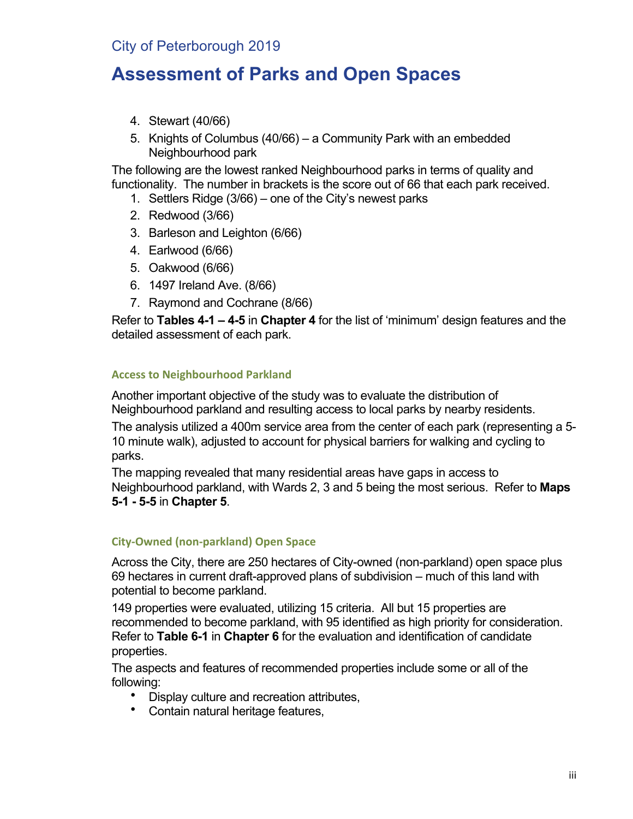# **Assessment of Parks and Open Spaces**

- 4. Stewart (40/66)
- 5. Knights of Columbus (40/66) a Community Park with an embedded Neighbourhood park

The following are the lowest ranked Neighbourhood parks in terms of quality and functionality. The number in brackets is the score out of 66 that each park received.

- 1. Settlers Ridge (3/66) one of the City's newest parks
- 2. Redwood (3/66)
- 3. Barleson and Leighton (6/66)
- 4. Earlwood (6/66)
- 5. Oakwood (6/66)
- 6. 1497 Ireland Ave. (8/66)
- 7. Raymond and Cochrane (8/66)

Refer to **Tables 4-1 – 4-5** in **Chapter 4** for the list of 'minimum' design features and the detailed assessment of each park.

#### **Access to Neighbourhood Parkland**

Another important objective of the study was to evaluate the distribution of Neighbourhood parkland and resulting access to local parks by nearby residents.

The analysis utilized a 400m service area from the center of each park (representing a 5- 10 minute walk), adjusted to account for physical barriers for walking and cycling to parks.

The mapping revealed that many residential areas have gaps in access to Neighbourhood parkland, with Wards 2, 3 and 5 being the most serious. Refer to **Maps 5-1 - 5-5** in **Chapter 5**.

### **City-Owned (non-parkland) Open Space**

Across the City, there are 250 hectares of City-owned (non-parkland) open space plus 69 hectares in current draft-approved plans of subdivision – much of this land with potential to become parkland.

149 properties were evaluated, utilizing 15 criteria. All but 15 properties are recommended to become parkland, with 95 identified as high priority for consideration. Refer to **Table 6-1** in **Chapter 6** for the evaluation and identification of candidate properties.

The aspects and features of recommended properties include some or all of the following:

- Display culture and recreation attributes,
- Contain natural heritage features,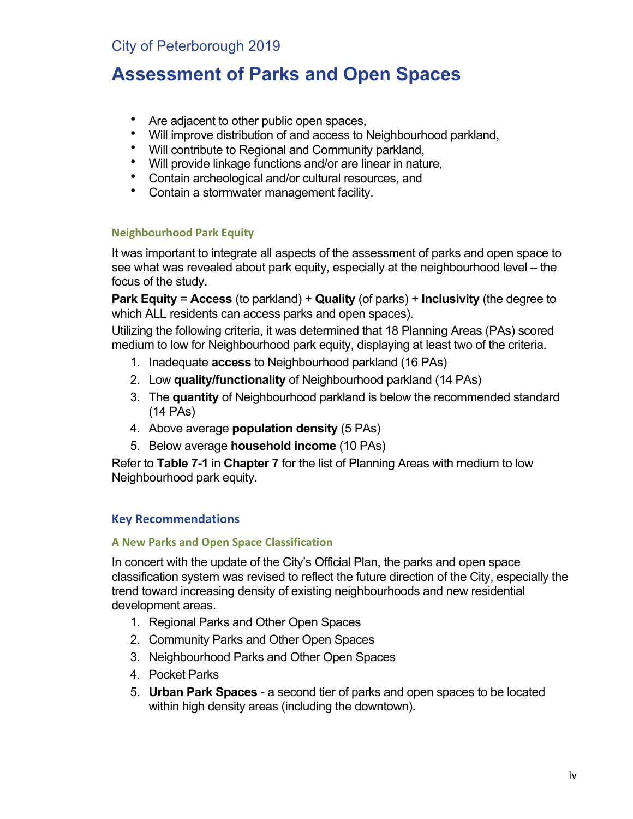# **Assessment of Parks and Open Spaces**

- Are adjacent to other public open spaces,
- Will improve distribution of and access to Neighbourhood parkland,<br>• Will contribute to Regional and Community parkland.
- Will contribute to Regional and Community parkland,
- Will provide linkage functions and/or are linear in nature,
- Contain archeological and/or cultural resources, and<br>• Contain a stormwater management facility
- Contain a stormwater management facility.

### **Neighbourhood Park Equity**

It was important to integrate all aspects of the assessment of parks and open space to see what was revealed about park equity, especially at the neighbourhood level – the focus of the study.

**Park Equity** = **Access** (to parkland) + **Quality** (of parks) + **Inclusivity** (the degree to which ALL residents can access parks and open spaces).

Utilizing the following criteria, it was determined that 18 Planning Areas (PAs) scored medium to low for Neighbourhood park equity, displaying at least two of the criteria.

- 1. Inadequate **access** to Neighbourhood parkland (16 PAs)
- 2. Low **quality/functionality** of Neighbourhood parkland (14 PAs)
- 3. The **quantity** of Neighbourhood parkland is below the recommended standard (14 PAs)
- 4. Above average **population density** (5 PAs)
- 5. Below average **household income** (10 PAs)

Refer to **Table 7-1** in **Chapter 7** for the list of Planning Areas with medium to low Neighbourhood park equity.

### **Key Recommendations**

### **A New Parks and Open Space Classification**

In concert with the update of the City's Official Plan, the parks and open space classification system was revised to reflect the future direction of the City, especially the trend toward increasing density of existing neighbourhoods and new residential development areas.

- 1. Regional Parks and Other Open Spaces
- 2. Community Parks and Other Open Spaces
- 3. Neighbourhood Parks and Other Open Spaces
- 4. Pocket Parks
- 5. **Urban Park Spaces** a second tier of parks and open spaces to be located within high density areas (including the downtown).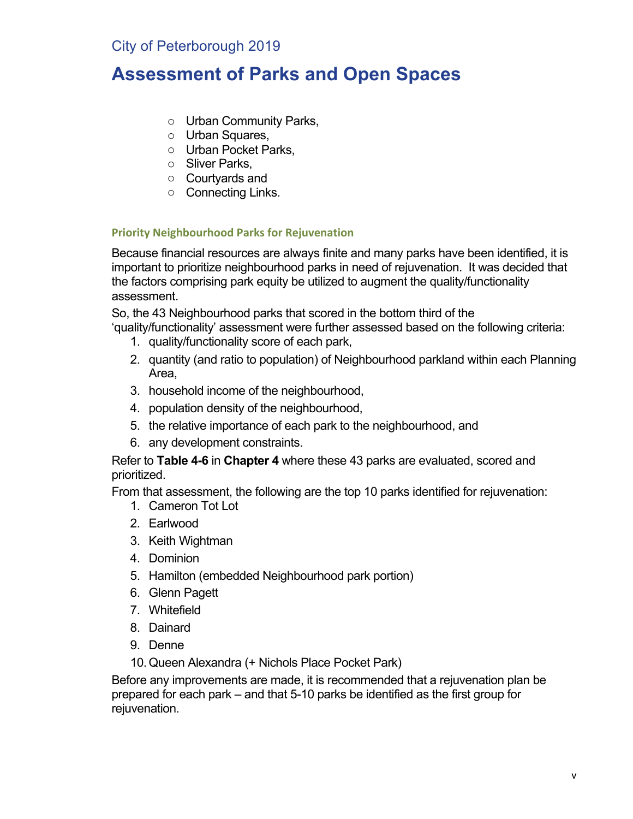# **Assessment of Parks and Open Spaces**

- o Urban Community Parks,
- o Urban Squares,
- o Urban Pocket Parks,
- o Sliver Parks,
- o Courtyards and
- o Connecting Links.

### **Priority Neighbourhood Parks for Rejuvenation**

Because financial resources are always finite and many parks have been identified, it is important to prioritize neighbourhood parks in need of rejuvenation. It was decided that the factors comprising park equity be utilized to augment the quality/functionality assessment.

So, the 43 Neighbourhood parks that scored in the bottom third of the 'quality/functionality' assessment were further assessed based on the following criteria:

- 1. quality/functionality score of each park,
- 2. quantity (and ratio to population) of Neighbourhood parkland within each Planning Area,
- 3. household income of the neighbourhood,
- 4. population density of the neighbourhood,
- 5. the relative importance of each park to the neighbourhood, and
- 6. any development constraints.

Refer to **Table 4-6** in **Chapter 4** where these 43 parks are evaluated, scored and prioritized.

From that assessment, the following are the top 10 parks identified for rejuvenation:

- 1. Cameron Tot Lot
- 2. Earlwood
- 3. Keith Wightman
- 4. Dominion
- 5. Hamilton (embedded Neighbourhood park portion)
- 6. Glenn Pagett
- 7. Whitefield
- 8. Dainard
- 9. Denne
- 10.Queen Alexandra (+ Nichols Place Pocket Park)

Before any improvements are made, it is recommended that a rejuvenation plan be prepared for each park – and that 5-10 parks be identified as the first group for rejuvenation.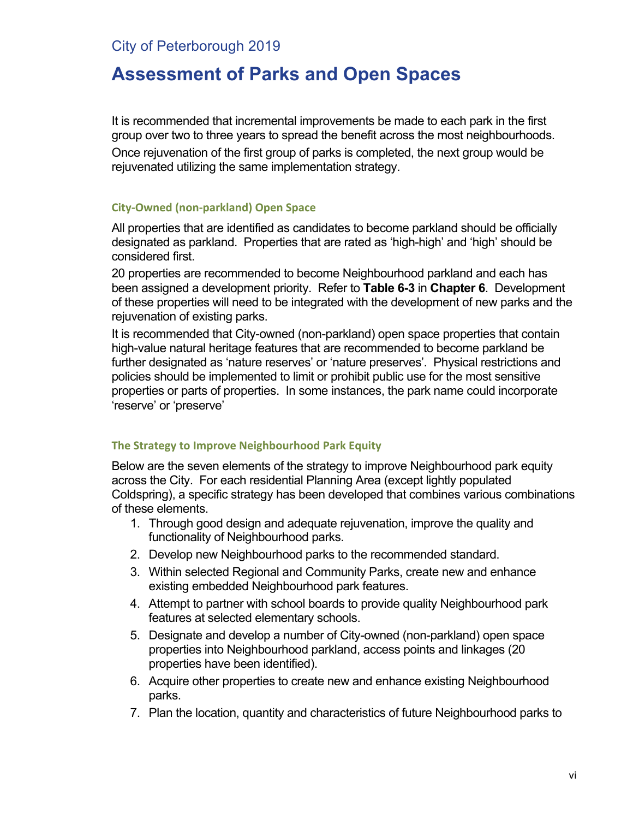## **Assessment of Parks and Open Spaces**

It is recommended that incremental improvements be made to each park in the first group over two to three years to spread the benefit across the most neighbourhoods. Once rejuvenation of the first group of parks is completed, the next group would be rejuvenated utilizing the same implementation strategy.

#### **City-Owned (non-parkland) Open Space**

All properties that are identified as candidates to become parkland should be officially designated as parkland. Properties that are rated as 'high-high' and 'high' should be considered first.

20 properties are recommended to become Neighbourhood parkland and each has been assigned a development priority. Refer to **Table 6-3** in **Chapter 6**. Development of these properties will need to be integrated with the development of new parks and the rejuvenation of existing parks.

It is recommended that City-owned (non-parkland) open space properties that contain high-value natural heritage features that are recommended to become parkland be further designated as 'nature reserves' or 'nature preserves'. Physical restrictions and policies should be implemented to limit or prohibit public use for the most sensitive properties or parts of properties. In some instances, the park name could incorporate 'reserve' or 'preserve'

### **The Strategy to Improve Neighbourhood Park Equity**

Below are the seven elements of the strategy to improve Neighbourhood park equity across the City. For each residential Planning Area (except lightly populated Coldspring), a specific strategy has been developed that combines various combinations of these elements.

- 1. Through good design and adequate rejuvenation, improve the quality and functionality of Neighbourhood parks.
- 2. Develop new Neighbourhood parks to the recommended standard.
- 3. Within selected Regional and Community Parks, create new and enhance existing embedded Neighbourhood park features.
- 4. Attempt to partner with school boards to provide quality Neighbourhood park features at selected elementary schools.
- 5. Designate and develop a number of City-owned (non-parkland) open space properties into Neighbourhood parkland, access points and linkages (20 properties have been identified).
- 6. Acquire other properties to create new and enhance existing Neighbourhood parks.
- 7. Plan the location, quantity and characteristics of future Neighbourhood parks to